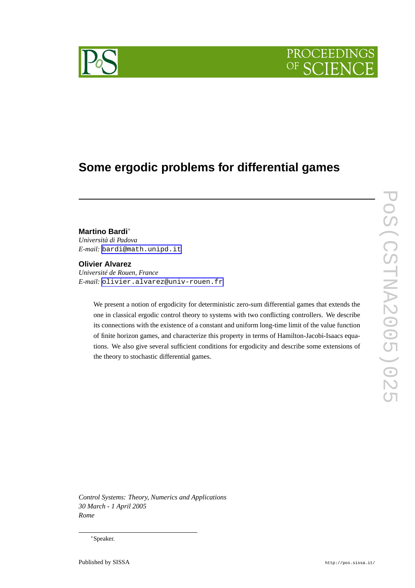



# **Some ergodic problems for differential games**

# **Martino Bardi**<sup>∗</sup>

*Università di Padova E-mail:* [bardi@math.unipd.it](mailto:bardi@math.unipd.it)

### **Olivier Alvarez**

*Université de Rouen, France E-mail:* [olivier.alvarez@univ-rouen.fr](mailto:olivier.alvarez@univ-rouen.fr)

We present a notion of ergodicity for deterministic zero-sum differential games that extends the one in classical ergodic control theory to systems with two conflicting controllers. We describe its connections with the existence of a constant and uniform long-time limit of the value function of finite horizon games, and characterize this property in terms of Hamilton-Jacobi-Isaacs equations. We also give several sufficient conditions for ergodicity and describe some extensions of the theory to stochastic differential games.

*Control Systems: Theory, Numerics and Applications 30 March - 1 April 2005 Rome*

<sup>∗</sup>Speaker.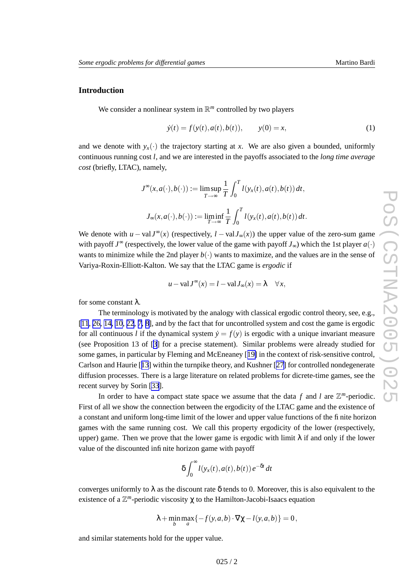# <span id="page-1-0"></span>**Introduction**

We consider a nonlinear system in  $\mathbb{R}^m$  controlled by two players

$$
\dot{y}(t) = f(y(t), a(t), b(t)), \qquad y(0) = x,\tag{1}
$$

and we denote with  $y_x(\cdot)$  the trajectory starting at x. We are also given a bounded, uniformly continuous running cost *l*, and we are interested in the payoffs associated to the *long time average* cost (briefly, LTAC), namely,

$$
J^{\infty}(x, a(\cdot), b(\cdot)) := \limsup_{T \to \infty} \frac{1}{T} \int_0^T l(y_x(t), a(t), b(t)) dt,
$$
  

$$
J_{\infty}(x, a(\cdot), b(\cdot)) := \liminf_{T \to \infty} \frac{1}{T} \int_0^T l(y_x(t), a(t), b(t)) dt.
$$

We denote with  $u - valJ^{\infty}(x)$  (respectively,  $l - valJ_{\infty}(x)$ ) the upper value of the zero-sum game with payoff  $J^{\infty}$  (respectively, the lower value of the game with payoff  $J_{\infty}$ ) which the 1st player  $a(\cdot)$ wants to minimize while the 2nd player  $b(\cdot)$  wants to maximize, and the values are in the sense of Variya-Roxin-Elliott-Kalton. We say that the LTA C game is *ergodic* if

$$
u - \mathrm{val} J^{\infty}(x) = l - \mathrm{val} J_{\infty}(x) = \lambda \quad \forall x,
$$

for some constant λ .

The terminology is motivated by the analogy with classical ergodic control theory, see, e.g., [\[11](#page-14-0), [26](#page-15-0), [14](#page-15-0), [10](#page-14-0), [22](#page-15-0), [7](#page-14-0), [8\]](#page-14-0), and by the fact that for uncontrolled system and cost the game is ergodic for all continuous *l* if the dynamical system  $\dot{y} = f(y)$  is ergodic with a unique invariant measure (see Proposition 13 of [[3](#page-14-0) ] for a precise statement). Similar problems were already studied for some games, in particular by Fleming and McEneaney [[19](#page-15-0)] in the context of risk-sensitive control, Carlson and Haurie [[13](#page-15-0) ] within the turnpik e theory , and Kushner [[27](#page-15-0) ] for controlled nondegenerate diffusion processes. There is a large literature on related problems for dicrete-time games, see the recent survey by Sorin [\[33](#page-16-0)].

In order to have a compact state space we assume that the data  $f$  and  $l$  are  $\mathbb{Z}^m$ -periodic. First of all we sho w the connection between the ergodicity of the LTA C game and the existence of a constant and uniform long-time limit of the lower and upper value functions of the finite horizon games with the same running cost. We call this property ergodicity of the lower (respectively, upper) game. Then we prove that the lower game is ergodic with limit  $\lambda$  if and only if the lower value of the discounted infinite horizon game with payoff

$$
\delta \int_0^\infty l(y_x(t), a(t), b(t)) e^{-\delta t} dt
$$

converges uniformly to  $\lambda$  as the discount rate  $\delta$  tends to 0. Moreover, this is also equivalent to the existence of a  $\mathbb{Z}^m$ -periodic viscosity  $\chi$  to the Hamilton-Jacobi-Isaacs equation

$$
\lambda + \min_b \max_a \{-f(y, a, b) \cdot \nabla \chi - l(y, a, b)\} = 0,
$$

and similar statements hold for the upper value.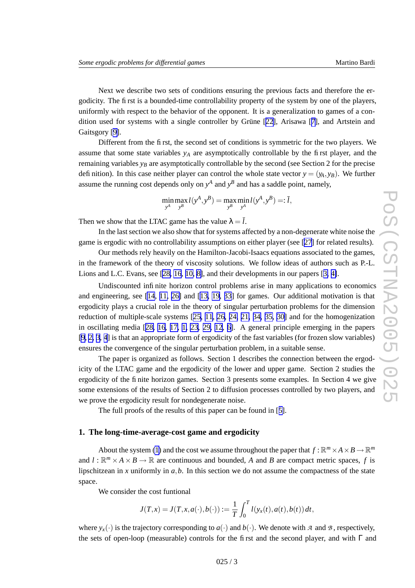Next we describe two sets of conditions ensuring the previous facts and therefore the ergodicity . The first is a bounded-time controllability property of the system by one of the players, uniformly with respect to the behavior of the opponent. It is a generalization to games of a condition used for systems with a single controller by Grüne [[22\]](#page-15-0), Arisawa [[7\]](#page-14-0), and Artstein and Gaitsgory [\[9\]](#page-14-0).

Different from the first, the second set of conditions is symmetric for the tw o players. We assume that some state variables *y<sup>A</sup>* are asymptotically controllable by the first player , and the remaining variables  $y_B$  are asymptotically controllable by the second (see Section 2 for the precise definition). In this case neither player can control the whole state vector  $y = (y_A, y_B)$ . We further assume the running cost depends only on  $y^A$  and  $y^B$  and has a saddle point, namely,

$$
\min_{y^A} \max_{y^B} l(y^A, y^B) = \max_{y^B} \min_{y^A} l(y^A, y^B) =: \bar{l},
$$

Then we show that the LTAC game has the value  $\lambda = l$ .

In the last section we also show that for systems affected by a non-degenerate white noise the game is ergodic with no controllability assumptions on either player (see [\[27](#page-15-0) ] for related results).

Our methods rely heavily on the Hamilton-Jacobi-Isaacs equations associated to the games, in the framework of the theory of viscosity solutions. We follow ideas of authors such as P.-L. Lions and L.C. Evans, see [[28](#page-15-0), [16](#page-15-0), [10](#page-14-0), [8\]](#page-14-0), and their developments in our papers [[3](#page-14-0), [4\]](#page-14-0).

Undiscounted infinite horizon control problems arise in many applications to economics and engineering, see [\[14](#page-15-0), [11](#page-14-0), [26](#page-15-0)] and [[13](#page-15-0), [19](#page-15-0), [33](#page-16-0)] for games. Our additional motivation is that ergodicity plays a crucial role in the theory of singular perturbation problems for the dimension reduction of multiple-scale systems [[25](#page-15-0), [11](#page-14-0), [26](#page-15-0), [24](#page-15-0), [21](#page-15-0), [34](#page-16-0), [35](#page-16-0), [30](#page-15-0)] and for the homogenization in oscillating media [[28](#page-15-0), [16](#page-15-0), [17](#page-15-0), [1](#page-14-0), [23](#page-15-0), [29](#page-15-0), [12](#page-14-0), [6](#page-14-0)]. A general principle emerging in the papers [\[9](#page-14-0), [2](#page-14-0), [3](#page-14-0), [4](#page-14-0)] is that an appropriate form of ergodicity of the fast variables (for frozen slow variables) ensures the convergence of the singular perturbation problem, in a suitable sense.

The paper is or ganized as follows. Section 1 describes the connection between the ergodicity of the LTAC game and the ergodicity of the lower and upper game. Section 2 studies the ergodicity of the finite horizon games. Section 3 presents some examples. In Section 4 we give some extensions of the results of Section 2 to diffusion processes controlled by tw o players, and we prove the ergodicity result for nondegenerate noise.

The full proofs of the results of this paper can be found in [[5\]](#page-14-0).

# **1. The long-time-a verage-cost game and ergodicity**

About the system [\(1](#page-1-0)) and the cost we assume throughout the paper that  $f : \mathbb{R}^m \times A \times B \to \mathbb{R}^m$ and  $l : \mathbb{R}^m \times A \times B \to \mathbb{R}$  are continuous and bounded, A and B are compact metric spaces, f is lipschitzean in x uniformly in  $a, b$ . In this section we do not assume the compactness of the state space.

We consider the cost funtional

$$
J(T, x) = J(T, x, a(\cdot), b(\cdot)) := \frac{1}{T} \int_0^T l(y_x(t), a(t), b(t)) dt,
$$

where  $y_x(\cdot)$  is the trajectory corresponding to  $a(\cdot)$  and  $b(\cdot)$ . We denote with A and B, respectively, the sets of open-loop (measurable) controls for the first and the second player, and with  $\Gamma$  and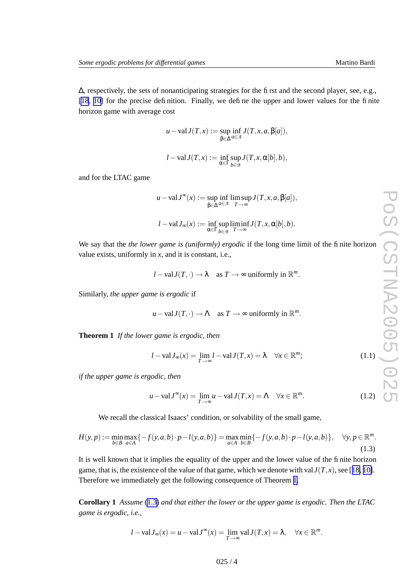<span id="page-3-0"></span>∆, respectively, the sets of nonanticipating strategies for the first and the second player, see, e.g., [\[18](#page-15-0), [10](#page-14-0)] for the precise definition. Finally, we define the upper and lower values for the finite horizon game with a verage cost

$$
u - \text{val} J(T, x) := \sup_{\beta \in \Delta} \inf_{a \in \mathcal{A}} J(T, x, a, \beta[a]),
$$

$$
l - \text{val} J(T, x) := \inf_{\alpha \in \Gamma} \sup_{b \in \mathcal{A}} J(T, x, \alpha[b], b),
$$

*b*∈*B*

and for the LTA C game

$$
u - \text{val} J^{\infty}(x) := \sup_{\beta \in \Delta} \inf_{a \in \mathcal{A}} \limsup_{T \to \infty} J(T, x, a, \beta[a]),
$$
  

$$
l - \text{val} J_{\infty}(x) := \inf_{\alpha \in \Gamma} \sup_{b \in \mathcal{B}} \liminf_{T \to \infty} J(T, x, \alpha[b], b).
$$

We say that the *the lower game is (uniformly) ergodic* if the long time limit of the finite horizon value exists, uniformly in *x*, and it is constant, i.e.,

$$
l - \text{val} J(T, \cdot) \to \lambda
$$
 as  $T \to \infty$  uniformly in  $\mathbb{R}^m$ .

Similarly , *the upper game is ergodic* if

$$
u - \text{val} J(T, \cdot) \to \Lambda
$$
 as  $T \to \infty$  uniformly in  $\mathbb{R}^m$ .

**Theorem 1** *If the lower game is ergodic, then*

$$
l - \text{val} J_{\infty}(x) = \lim_{T \to \infty} l - \text{val} J(T, x) = \lambda \quad \forall x \in \mathbb{R}^m; \tag{1.1}
$$

*if the upper game is ergodic, then*

$$
u - \mathrm{val}J^{\infty}(x) = \lim_{T \to \infty} u - \mathrm{val}J(T, x) = \Lambda \quad \forall x \in \mathbb{R}^{m}.
$$
 (1.2)

We recall the classical Isaacs' condition, or solvability of the small game,

$$
H(y, p) := \min_{b \in B} \max_{a \in A} \{ -f(y, a, b) \cdot p - l(y, a, b) \} = \max_{a \in A} \min_{b \in B} \{ -f(y, a, b) \cdot p - l(y, a, b) \}, \quad \forall y, p \in \mathbb{R}^m.
$$
\n(1.3)

It is well known that it implies the equality of the upper and the lower value of the finite horizon game, that is, the existence of the value of that game, which we denote with val $J(T, x)$ , see [[18](#page-15-0), [10\]](#page-14-0). Therefore we immediately get the following consequence of Theorem 1 .

Corollary 1 Assume (1.3) and that either the lower or the upper game is ergodic. Then the LTAC *game is ergodic, i.e.,*

$$
l - \mathrm{val} J_{\infty}(x) = u - \mathrm{val} J^{\infty}(x) = \lim_{T \to \infty} \mathrm{val} J(T, x) = \lambda, \quad \forall x \in \mathbb{R}^m.
$$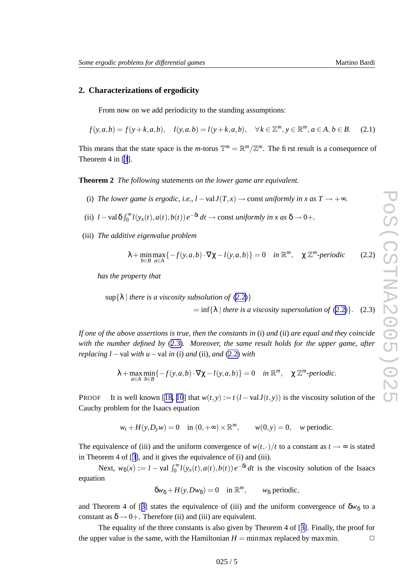# <span id="page-4-0"></span>**2. Characterizations of ergodicity**

From no w on we add periodicity to the standing assumptions:

$$
f(y, a, b) = f(y + k, a, b), \quad l(y, a, b) = l(y + k, a, b), \quad \forall k \in \mathbb{Z}^m, y \in \mathbb{R}^m, a \in A, b \in B.
$$
 (2.1)

This means that the state space is the *m*-torus  $\mathbb{T}^m = \mathbb{R}^m / \mathbb{Z}^m$ . The first result is a consequence of Theorem 4 in [[3](#page-14-0)].

**Theorem 2** *The following statements on the lower game are equivalent.*

- (i) The lower game is ergodic, i.e.,  $l valJ(T, x) \rightarrow const$  uniformly in x as  $T \rightarrow +\infty$ .
- (ii)  $l \text{val}\,\delta \int_0^\infty$  $\int_0^\infty l(y_x(t), a(t), b(t)) e^{-\delta t} dt \to \text{const}$  *uniformly in x as*  $\delta \to 0+$ *.*
- (iii) *The additive eigenvalue problem*

$$
\lambda + \min_{b \in B} \max_{a \in A} \{ -f(y, a, b) \cdot \nabla \chi - l(y, a, b) \} = 0 \quad \text{in } \mathbb{R}^m, \quad \chi \mathbb{Z}^m \text{-periodic} \tag{2.2}
$$

*has the property that*

 $\sup\{\lambda \mid \text{there is a viscosity subsolution of (2.2)}\}$ 

 $=$  inf{ $\lambda$  | *there is a viscosity supersolution of* (2.2)}. (2.3)

If one of the above assertions is true, then the constants in (i) and (ii) are equal and they coincide *with the number defined by* (2.3 ) *. Moreover, the same result holds for the upper game , after replacing*  $l$  – val *with*  $u$  – val *in* (*i*) *and* (*ii*)*, and* (2.2) *with* 

$$
\lambda + \max_{a \in A} \min_{b \in B} \{-f(y, a, b) \cdot \nabla \chi - l(y, a, b)\} = 0 \quad \text{in } \mathbb{R}^m, \quad \chi \mathbb{Z}^m \text{-periodic}.
$$

P R O O F It is well known [[18](#page-15-0), [10](#page-14-0)] that  $w(t, y) := t(l - valJ(t, y))$  is the viscosity solution of the Cauch y problem for the Isaacs equation

$$
w_t + H(y, D_y w) = 0
$$
 in  $(0, +\infty) \times \mathbb{R}^m$ ,  $w(0, y) = 0$ , w periodic.

The equivalence of (iii) and the uniform convergence of  $w(t, \cdot)/t$  to a constant as  $t \to \infty$  is stated in Theorem 4 of [[3](#page-14-0)], and it gives the equivalence of (i) and (iii).

Next,  $w_{\delta}(x) := l - \text{val } \int_0^{\infty}$  $\int_0^\infty l(y_x(t), a(t), b(t)) e^{-\delta t} dt$  is the viscosity solution of the Isaacs equation

$$
\delta w_{\delta} + H(y, Dw_{\delta}) = 0 \quad \text{in } \mathbb{R}^m, \qquad w_{\delta} \text{ periodic},
$$

and Theorem 4 of [[3](#page-14-0)] states the equivalence of (iii) and the uniform convergence of  $\delta w_{\delta}$  to a constant as  $\delta \rightarrow 0+$ . Therefore (ii) and (iii) are equivalent.

The equality of the three constants is also gi ven by Theorem 4 of [[3\]](#page-14-0). Finally , the proof for the upper value is the same, with the Hamiltonian  $H = \min \max$  replaced by maxmin.  $\Box$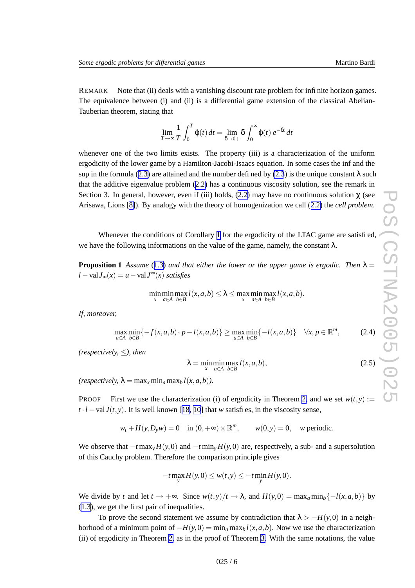<span id="page-5-0"></span>REMARK Note that (ii) deals with a vanishing discount rate problem for infinite horizon games. The equivalence between (i) and (ii) is a differential game extension of the classical Abelian-Tauberian theorem, stating that

$$
\lim_{T \to \infty} \frac{1}{T} \int_0^T \varphi(t) dt = \lim_{\delta \to 0+} \delta \int_0^\infty \varphi(t) e^{-\delta t} dt
$$

whenever one of the two limits exists. The property (iii) is a characterization of the uniform ergodicity of the lower game by a Hamilton-Jacobi-Isaacs equation. In some cases the inf and the sup in the formula [\(2.3](#page-4-0)) are attained and the number defined by (2.3) is the unique constant  $\lambda$  such that the additive eigenvalue problem [\(2.2](#page-4-0)) has a continuous viscosity solution, see the remark in Section 3. In general, however, even if (iii) holds,  $(2.2)$  $(2.2)$  may have no continuous solution  $\chi$  (see Arisa wa, Lions [\[8\]](#page-14-0)). By analogy with the theory of homogenization we call ([2.2](#page-4-0) ) the *cell problem* .

Whenever the conditions of Corollary [1](#page-3-0) for the ergodicity of the LTAC game are satisfied, we have the following informations on the value of the game, namely, the constant  $\lambda$ .

**Proposition 1** Assume ([1.3](#page-3-0)) and that either the lower or the upper game is ergodic. Then  $\lambda =$ *l* − val *J*<sup>∞</sup> $(x)$  *satisfies* 

$$
\min_{x} \min_{a \in A} \max_{b \in B} l(x, a, b) \leq \lambda \leq \max_{x} \min_{a \in A} \max_{b \in B} l(x, a, b).
$$

*If, moreover,*

$$
\max_{a \in A} \min_{b \in B} \{-f(x, a, b) \cdot p - l(x, a, b)\} \ge \max_{a \in A} \min_{b \in B} \{-l(x, a, b)\} \quad \forall x, p \in \mathbb{R}^m,
$$
 (2.4)

*(respectively,* ≤*), then*

$$
\lambda = \min_{x} \min_{a \in A} \max_{b \in B} l(x, a, b),
$$
\n(2.5)

 $(respectively, \lambda = \max_{x} \min_{a} \max_{b} l(x, a, b)).$ 

Proo F First we use the characterization (i) of ergodicity in Theorem [2](#page-4-0), and we set  $w(t, y) :=$  $t \cdot l$  – val  $J(t, y)$ . It is well known [[18](#page-15-0), [10](#page-14-0)] that *w* satisfies, in the viscosity sense,

 $w_t + H(y, D_y w) = 0$  in  $(0, +\infty) \times \mathbb{R}^m$ ,  $w(0, y) = 0$ , *w* periodic.

We observe that  $-t \max_{y} H(y,0)$  and  $-t \min_{y} H(y,0)$  are, respectively, a sub- and a supersolution of this Cauch y problem. Therefore the comparison principle gi ves

$$
-t\max_{y}H(y,0)\leq w(t,y)\leq -t\min_{y}H(y,0).
$$

We divide by t and let  $t \to +\infty$ . Since  $w(t, y)/t \to \lambda$ , and  $H(y, 0) = \max_a \min_b \{-l(x, a, b)\}$  by [\(1.3](#page-3-0)), we get the first pair of inequalities.

To prove the second statement we assume by contradiction that  $\lambda > -H(y,0)$  in a neighborhood of a minimum point of  $-H(y,0) = \min_a \max_b l(x,a,b)$ . Now we use the characterization (ii) of ergodicity in Theorem [2](#page-4-0) , as in the proof of Theorem [3](#page-6-0) . With the same notations, the value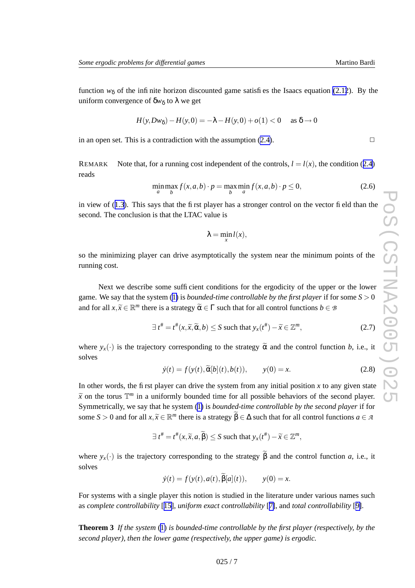<span id="page-6-0"></span>function  $w_{\delta}$  of the infinite horizon discounted game satisfies the Isaacs equation [\(2.12](#page-7-0)). By the uniform convergence of  $\delta w_{\delta}$  to  $\lambda$  we get

$$
H(y, Dw_{\delta}) - H(y,0) = -\lambda - H(y,0) + o(1) < 0 \quad \text{as } \delta \to 0
$$

in an open set. This is a contradiction with the assumption [\(2.4\)](#page-5-0).

**REMAR** K Note that, for a running cost independent of the controls,  $l = l(x)$ , the condition ([2.4](#page-5-0)) reads

$$
\min_{a} \max_{b} f(x, a, b) \cdot p = \max_{b} \min_{a} f(x, a, b) \cdot p \le 0,
$$
\n(2.6)

in vie w of ([1.3](#page-3-0)). This says that the first player has a stronger control on the vector field than the second. The conclusion is that the LTAC value is

$$
\lambda = \min_{x} l(x),
$$

so the minimizing player can drive asymptotically the system near the minimum points of the running cost.

Next we describe some sufficient conditions for the ergodicity of the upper or the lower game. We say that the system ([1](#page-1-0) ) is *bounded-time controllable by the first player* if for some *S* > 0 and for all  $x, \tilde{x} \in \mathbb{R}^m$  there is a strategy  $\tilde{\alpha} \in \Gamma$  such that for all control functions  $b \in \mathcal{B}$ 

$$
\exists t^{\#} = t^{\#}(x, \widetilde{x}, \widetilde{\alpha}, b) \le S \text{ such that } y_{x}(t^{\#}) - \widetilde{x} \in \mathbb{Z}^{m}, \tag{2.7}
$$

where  $y_x(\cdot)$  is the trajectory corresponding to the strategy  $\tilde{\alpha}$  and the control function *b*, i.e., it solves

$$
\dot{y}(t) = f(y(t), \tilde{\alpha}[b](t), b(t)), \qquad y(0) = x.
$$
\n(2.8)

In other words, the first player can drive the system from any initial position  $x$  to any given state  $\widetilde{x}$  on the torus  $\mathbb{T}^m$  in a uniformly bounded time for all possible behaviors of the second player. Symmetrically , we say that he system ([1](#page-1-0) ) is *bounded-time controllable by the second player* if for some  $S > 0$  and for all  $x, \tilde{x} \in \mathbb{R}^m$  there is a strategy  $\tilde{\beta} \in \Delta$  such that for all control functions  $a \in \mathcal{A}$ 

$$
\exists t^{\#} = t^{\#}(x, \widetilde{x}, a, \widetilde{\beta}) \le S \text{ such that } y_{x}(t^{\#}) - \widetilde{x} \in \mathbb{Z}^{m},
$$

where  $y_x(\cdot)$  is the trajectory corresponding to the strategy  $\beta$  and the control function *a*, i.e., it solves

$$
\dot{y}(t) = f(y(t), a(t), \beta[a](t)), \qquad y(0) = x.
$$

For systems with a single player this notion is studied in the literature under various names such as *complete controllability* [[15\]](#page-15-0), *uniform exact controllability* [[7\]](#page-14-0), and *total controllability* [[9\]](#page-14-0).

**Theorem 3** *If the system* ([1](#page-1-0) ) *is bounded-time controllable by the first player (respectively, by the second player), then the lower game (respectively, the upper game) is ergodic.*

 $\Box$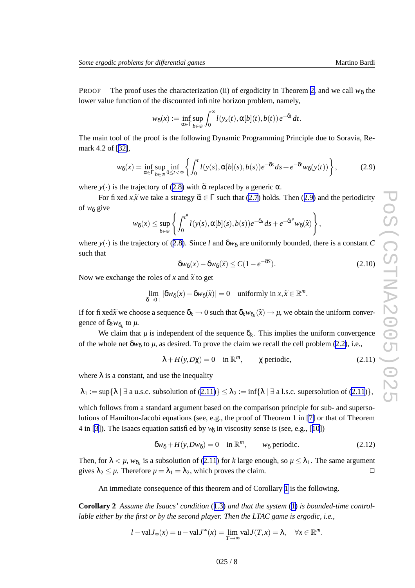<span id="page-7-0"></span>PROOF The proof uses the characterization (ii) of ergodicity in Theorem [2,](#page-4-0) and we call  $w_{\delta}$  the lower value function of the discounted infinite horizon problem, namely,

$$
w_{\delta}(x) := \inf_{\alpha \in \Gamma} \sup_{b \in \mathcal{B}} \int_0^{\infty} l(y_x(t), \alpha[b](t), b(t)) e^{-\delta t} dt.
$$

The main tool of the proof is the following Dynamic Programming Principle due to Soravia, Remark 4.2 of [[32\]](#page-15-0),

$$
w_{\delta}(x) = \inf_{\alpha \in \Gamma} \sup_{b \in \mathcal{B}} \inf_{0 \le t < \infty} \left\{ \int_0^t l(y(s), \alpha[b](s), b(s)) e^{-\delta s} ds + e^{-\delta t} w_{\delta}(y(t)) \right\},\tag{2.9}
$$

where  $y(\cdot)$  is the trajectory of [\(2.8](#page-6-0)) with  $\alpha$  replaced by a generic  $\alpha$ .

For fixed  $x, \tilde{x}$  we take a strategy  $\tilde{\alpha} \in \Gamma$  such that [\(2.7](#page-6-0)) holds. Then (2.9) and the periodicity of *w*<sub>δ</sub> give

$$
w_{\delta}(x) \le \sup_{b \in \mathcal{B}} \left\{ \int_0^{t^*} l(y(s), \alpha[b](s), b(s)) e^{-\delta s} ds + e^{-\delta t^*} w_{\delta}(\widetilde{x}) \right\}
$$

where  $y(\cdot)$  is the trajectory of ([2.8\)](#page-6-0). Since *l* and  $\delta w_{\delta}$  are uniformly bounded, there is a constant *C* such that

$$
\delta w_{\delta}(x) - \delta w_{\delta}(\tilde{x}) \le C(1 - e^{-\delta S}).\tag{2.10}
$$

,

Now we exchange the roles of x and  $\tilde{x}$  to get

$$
\lim_{\delta \to 0+} |\delta w_{\delta}(x) - \delta w_{\delta}(\tilde{x})| = 0 \quad \text{uniformly in } x, \tilde{x} \in \mathbb{R}^m.
$$

If for fixed  $\tilde{x}$  we choose a sequence  $\delta_k \to 0$  such that  $\delta_k w_{\delta_k}(\tilde{x}) \to \mu$ , we obtain the uniform convergence of  $\delta_k w_{\delta_k}$  to  $\mu$ .

We claim that  $\mu$  is independent of the sequence  $\delta_k$ . This implies the uniform convergence of the whole net  $\delta w_{\delta}$  to  $\mu$ , as desired. To prove the claim we recall the cell problem [\(2.2\)](#page-4-0), i.e.,

$$
\lambda + H(y, D\chi) = 0 \quad \text{in } \mathbb{R}^m, \qquad \chi \text{ periodic}, \tag{2.11}
$$

where  $\lambda$  is a constant, and use the inequality

 $\lambda_1 := \sup \{ \lambda \mid \exists \text{ a u.s.c. subsolution of (2.11)} \} \leq \lambda_2 := \inf \{ \lambda \mid \exists \text{ a l.s.c. supersolution of (2.11)} \},$ 

which follows from a standard argument based on the comparison principle for sub- and supersolutions of Hamilton-Jacobi equations (see, e.g., the proof of Theorem 1 in [[7\]](#page-14-0) or that of Theorem 4 in [[3](#page-14-0)]). The Isaacs equation satisfied by *w*<sub>δ</sub> in viscosity sense is (see, e.g., [[10](#page-14-0)])

$$
\delta w_{\delta} + H(y, Dw_{\delta}) = 0 \quad \text{in } \mathbb{R}^m, \qquad w_{\delta} \text{ periodic.}
$$
 (2.12)

Then, for  $\lambda < \mu$ ,  $w_{\delta_k}$  is a subsolution of (2.11) for k large enough, so  $\mu \leq \lambda_1$ . The same argument gives  $\lambda_2 \leq \mu$ . Therefore  $\mu = \lambda_1 = \lambda_2$ , which proves the claim.  $\Box$ 

An immediate consequence of this theorem and of Corollary [1](#page-3-0) is the following.

**Corollary 2** *Assume the Isaacs' condition* ([1.3](#page-3-0) ) *and that the system* ([1](#page-1-0) ) *is bounded-time controllable either by the first or by the second player. Then the LTAC game is ergodic, i.e.,*

$$
l - \mathrm{val} J_{\infty}(x) = u - \mathrm{val} J^{\infty}(x) = \lim_{T \to \infty} \mathrm{val} J(T, x) = \lambda, \quad \forall x \in \mathbb{R}^{m}.
$$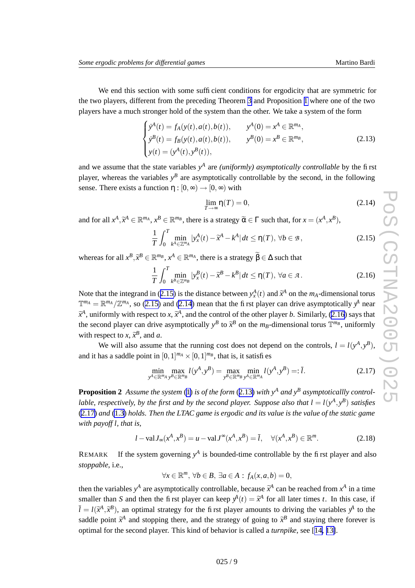<span id="page-8-0"></span>We end this section with some sufficient conditions for ergodicity that are symmetric for the tw o players, different from the preceding Theorem [3](#page-6-0) and Proposition [1](#page-5-0) where one of the tw o players ha v e a much stronger hold of the system than the other . We tak e a system of the form

$$
\begin{cases}\n\dot{y}^{A}(t) = f_{A}(y(t), a(t), b(t)), & y^{A}(0) = x^{A} \in \mathbb{R}^{m_{A}}, \\
\dot{y}^{B}(t) = f_{B}(y(t), a(t), b(t)), & y^{B}(0) = x^{B} \in \mathbb{R}^{m_{B}}, \\
y(t) = (y^{A}(t), y^{B}(t)), &\n\end{cases}
$$
\n(2.13)

and we assume that the state variables  $y^A$  are *(uniformly) asymptotically controllable* by the first player, whereas the variables  $y^B$  are asymptotically controllable by the second, in the following sense. There exists a function  $\eta : [0, \infty) \to [0, \infty)$  with

$$
\lim_{T \to \infty} \eta(T) = 0,\tag{2.14}
$$

and for all  $x^A$ ,  $\tilde{x}^A \in \mathbb{R}^{m_A}$ ,  $x^B \in \mathbb{R}^{m_B}$ , there is a strategy  $\tilde{\alpha} \in \Gamma$  such that, for  $x = (x^A, x^B)$ ,

$$
\frac{1}{T} \int_0^T \min_{k^A \in \mathbb{Z}^{m_A}} |y_x^A(t) - \widetilde{x}^A - k^A| \, dt \le \eta(T), \, \forall b \in \mathcal{B}, \tag{2.15}
$$

whereas for all  $x^B$ ,  $\tilde{x}^B \in \mathbb{R}^{m_B}$ ,  $x^A \in \mathbb{R}^{m_A}$ , there is a strategy  $\tilde{\beta} \in \Delta$  such that

$$
\frac{1}{T} \int_0^T \min_{k^B \in \mathbb{Z}^m} |y_x^B(t) - \widetilde{x}^B - k^B| \, dt \le \eta(T), \, \forall a \in \mathcal{A} \, . \tag{2.16}
$$

Note that the integrand in (2.15) is the distance between  $y_x^A(t)$  and  $\tilde{x}^A$  on the  $m_A$ -dimensional torus  $\mathbb{T}^{m_A} = \mathbb{R}^{m_A}/\mathbb{Z}^{m_A}$ , so (2.15) and (2.14) mean that the first player can drive asymptotically  $y^A$  near  $\widetilde{x}^A$ , uniformly with respect to *x*,  $\widetilde{x}^A$ , and the control of the other player *b*. Similarly, (2.16) says that the second player can drive asymptotically  $y^B$  to  $\tilde{x}^B$  on the  $m_B$ -dimensional torus  $\mathbb{T}^{m_B}$ , uniformly with respect to  $x$ ,  $\tilde{x}^B$ , and *a*.

We will also assume that the running cost does not depend on the controls,  $l = l(y^A, y^B)$ , and it has a saddle point in  $[0,1]^{m_A} \times [0,1]^{m_B}$ , that is, it satisfies

$$
\min_{y^A \in \mathbb{R}^{m_A}} \max_{y^B \in \mathbb{R}^{m_B}} l(y^A, y^B) = \max_{y^B \in \mathbb{R}^{m_B}} \min_{y^A \in \mathbb{R}^{m_A}} l(y^A, y^B) =: \bar{l}.
$$
\n(2.17)

**Proposition 2** Assume the system [\(1](#page-1-0)) is of the form (2.13) with  $y^A$  and  $y^B$  asymptoticallly controllable, respectively, by the first and by the second player. Suppose also that  $l = l(y^A, y^B)$  satisfies  $(2.17)$  and  $(1.3)$  $(1.3)$  holds. Then the LTAC game is ergodic and its value is the value of the static game *with payoff l , that is,*

$$
l - \operatorname{val} J_{\infty}(x^A, x^B) = u - \operatorname{val} J^{\infty}(x^A, x^B) = \overline{l}, \quad \forall (x^A, x^B) \in \mathbb{R}^m.
$$
 (2.18)

**REMAR** K If the system governing  $y^A$  is bounded-time controllable by the first player and also *stoppable* , i.e.,

$$
\forall x \in \mathbb{R}^m, \forall b \in B, \ \exists a \in A : f_A(x, a, b) = 0,
$$

then the variables  $y^A$  are asymptotically controllable, because  $\tilde{x}^A$  can be reached from  $x^A$  in a time smaller than *S* and then the first player can keep  $y^A(t) = \tilde{x}^A$  for all later times *t*. In this case, if  $\overline{l} = l(\tilde{x}^A, \tilde{x}^B)$ , an optimal strategy for the first player amounts to driving the variables  $y^A$  to the saddle point  $\tilde{x}^A$  and stopping there, and the strategy of going to  $\tilde{x}^B$  and staying there forever is optimal for the second player. This kind of behavior is called a *turnpike*, see [[14](#page-15-0), [13\]](#page-15-0).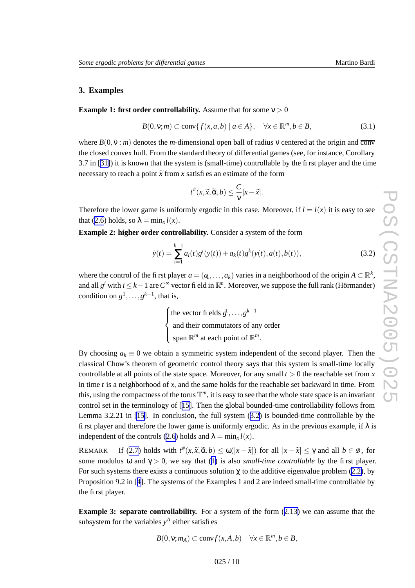# **3. Examples**

#### **Example 1: first order controllability.** Assume that for some  $v > 0$

$$
B(0, v; m) \subset \overline{\text{conv}}\{f(x, a, b) \mid a \in A\}, \quad \forall x \in \mathbb{R}^m, b \in B,
$$
\n
$$
(3.1)
$$

where  $B(0, v : m)$  denotes the *m*-dimensional open ball of radius v centered at the origin and conv the closed conv e x hull. From the standard theory of differential games (see, for instance, Corollary 3.7 in [[31\]](#page-15-0)) it is known that the system is (small-time) controllable by the first player and the time necessary to reach a point  $\tilde{x}$  from x satisfies an estimate of the form

$$
t^{\#}(x,\widetilde{x},\widetilde{\alpha},b)\leq \frac{C}{\nu}|x-\widetilde{x}|.
$$

Therefore the lower game is uniformly ergodic in this case. Moreover, if  $l = l(x)$  it is easy to see that ([2.6](#page-6-0)) holds, so  $\lambda = \min_x l(x)$ .

**Example 2: higher order controllability.** Consider a system of the form

$$
\dot{y}(t) = \sum_{i=1}^{k-1} a_i(t)g^i(y(t)) + a_k(t)g^k(y(t), a(t), b(t)),
$$
\n(3.2)

where the control of the first player  $a = (a_1, \ldots, a_k)$  varies in a neighborhood of the origin  $A \subset \mathbb{R}^k$ , and all  $g^i$  with  $i \leq k-1$  are  $C^{\infty}$  vector field in  $\mathbb{R}^n$ . Moreover, we suppose the full rank (Hörmander) condition on  $g^1, \ldots, g^{k-1}$ , that is,

> $\left\{\begin{matrix} 1 & 0 \\ 0 & 1 \end{matrix}\right\}$ the vector fi elds  $g^1, \ldots, g^{k-1}$ and their commutators of an y order span  $\mathbb{R}^m$  at each point of  $\mathbb{R}^m$ .

By choosing  $a_k \equiv 0$  we obtain a symmetric system independent of the second player. Then the classical Chow' s theorem of geometric control theory says that this system is small-time locally controllable at all points of the state space. Moreover, for any small  $t > 0$  the reachable set from x in time *t* is a neighborhood of *x* , and the same holds for the reachable set backward in time. From this, using the compactness of the torus  $\mathbb{T}^m$ , it is easy to see that the whole state space is an invariant control set in the terminology of [[15\]](#page-15-0). Then the global bounded-time controllability follows from Lemma 3.2.21 in [\[15\]](#page-15-0). In conclusion, the full system (3.2 ) is bounded-time controllable by the first player and therefore the lower game is uniformly ergodic. As in the previous example, if  $\lambda$  is independent of the controls [\(2.6](#page-6-0)) holds and  $\lambda = \min_x l(x)$ .

**REMAR** K If ([2.7](#page-6-0)) holds with  $t^*(x, \tilde{x}, \tilde{\alpha}, b) \leq \omega(|x - \tilde{x}|)$  for all  $|x - \tilde{x}| \leq \gamma$  and all  $b \in \mathcal{B}$ , for some modulus  $\omega$  and  $\gamma > 0$ , we say that ([1](#page-1-0)) is also *small-time controllable* by the first player. For such systems there exists a continuous solution  $\chi$  to the additive eigenvalue problem ([2.2\)](#page-4-0), by Proposition 9.2 in [[4\]](#page-14-0). The systems of the Examples 1 and 2 are indeed small-time controllable by the first player .

**Example 3: separate controllability.** For a system of the form  $(2.13)$  $(2.13)$  $(2.13)$  we can assume that the subsystem for the variables  $y^A$  either satisfies

$$
B(0, v; mA) \subset \overline{\text{conv}} f(x, A, b) \quad \forall x \in \mathbb{R}^m, b \in B,
$$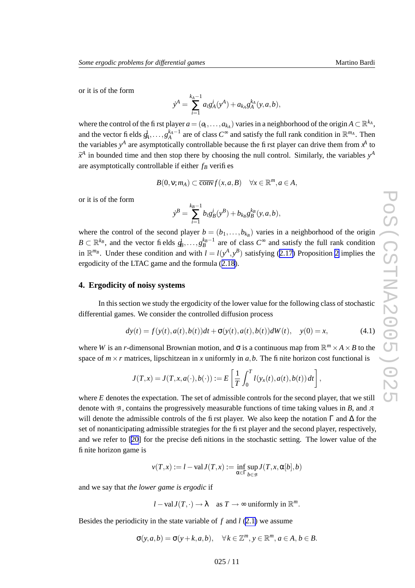<span id="page-10-0"></span>or it is of the form

$$
\dot{y}^A = \sum_{i=1}^{k_A - 1} a_i g_A^i(y^A) + a_{k_A} g_A^{k_A}(y, a, b),
$$

where the control of the first player  $a = (a_1, \ldots, a_{k_A})$  varies in a neighborhood of the origin  $A \subset \mathbb{R}^{k_A}$ , and the vector fi elds  $g_A^1, \ldots, g_A^{k_A-1}$  $A^{k_A-1}$  are of class  $C^{\infty}$  and satisfy the full rank condition in  $\mathbb{R}^{m_A}$ . Then the variables  $y^A$  are asymptotically controllable because the first player can drive them from  $x^A$  to  $\widetilde{x}^A$  in bounded time and then stop there by choosing the null control. Similarly, the variables  $y^A$ are asymptotically controllable if either *fB* verifies

$$
B(0, v; mA) \subset \overline{\text{conv}} f(x, a, B) \quad \forall x \in \mathbb{R}^m, a \in A,
$$

or it is of the form

$$
\dot{y}^B = \sum_{i=1}^{k_B-1} b_i g_B^i(y^B) + b_{k_B} g_B^{k_B}(y, a, b),
$$

where the control of the second player  $b = (b_1, \ldots, b_{k_B})$  varies in a neighborhood of the origin  $B \subset \mathbb{R}^{k_B}$ , and the vector fields  $g_B^1, \ldots, g_B^{k_B-1}$  $B_B^{k_B-1}$  are of class  $C^{\infty}$  and satisfy the full rank condition in  $\mathbb{R}^{m}$ . Under these condition and with  $l = l(y^A, y^B)$  satisfying ([2.17](#page-8-0)) Proposition [2](#page-8-0) implies the ergodicity of the LTA C game and the formula ([2.18\)](#page-8-0).

#### **4. Ergodicity of noisy systems**

In this section we study the ergodicity of the lower value for the following class of stochastic differential games. We consider the controlled diffusion process

$$
dy(t) = f(y(t), a(t), b(t))dt + \sigma(y(t), a(t), b(t))dW(t), y(0) = x,
$$
\n(4.1)

where *W* is an *r*-dimensonal Brownian motion, and  $\sigma$  is a continuous map from  $\mathbb{R}^m \times A \times B$  to the space of  $m \times r$  matrices, lipschitzean in x uniformly in  $a, b$ . The fi nite horizon cost functional is

$$
J(T,x) = J(T,x,a(\cdot),b(\cdot)) := E\left[\frac{1}{T}\int_0^T l(y_x(t),a(t),b(t)) dt\right],
$$

where E denotes the expectation. The set of admissible controls for the second player, that we still denote with *B* , contains the progressi vely measurable functions of time taking values in *B* , and *A* will denote the admissible controls of the first player. We also keep the notation  $\Gamma$  and  $\Delta$  for the set of nonanticipating admissible strategies for the first player and the second player, respectively, and we refer to [\[20](#page-15-0) ] for the precise definitions in the stochastic setting. The lower value of the finite horizon game is

$$
v(T, x) := l - \text{val} J(T, x) := \inf_{\alpha \in \Gamma} \sup_{b \in \mathcal{B}} J(T, x, \alpha[b], b)
$$

and we say that *the lower game is ergodic* if

$$
l - \text{val} J(T, \cdot) \to \lambda
$$
 as  $T \to \infty$  uniformly in  $\mathbb{R}^m$ .

Besides the periodicity in the state variable of  $f$  and  $l$  [\(2.1](#page-4-0)) we assume

$$
\sigma(y, a, b) = \sigma(y + k, a, b), \quad \forall k \in \mathbb{Z}^m, y \in \mathbb{R}^m, a \in A, b \in B.
$$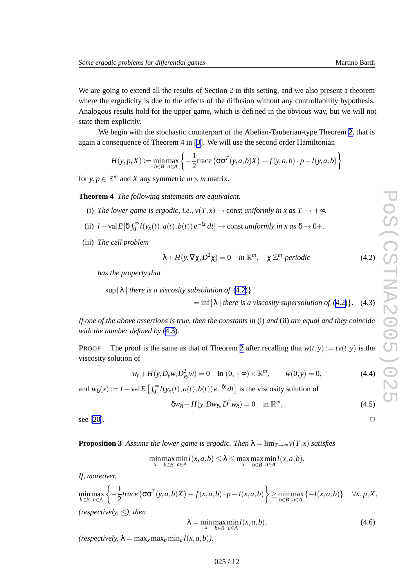$\Box$ 

<span id="page-11-0"></span>We are going to extend all the results of Section 2 to this setting, and we also present a theorem where the ergodicity is due to the effects of the diffusion without any controllability hypothesis. Analogous results hold for the upper game, which is defined in the obvious way , but we will not state them explicitly .

We begin with the stochastic counterpart of the Abelian-Tauberian-type Theorem [2](#page-4-0), that is again a consequence of Theorem 4 in [[3\]](#page-14-0). We will use the second order Hamiltonian

$$
H(y, p, X) := \min_{b \in B} \max_{a \in A} \left\{ -\frac{1}{2} \text{trace} \left( \sigma \sigma^T(y, a, b) X \right) - f(y, a, b) \cdot p - l(y, a, b) \right\}
$$

for  $y, p \in \mathbb{R}^m$  and *X* any symmetric  $m \times m$  matrix.

**Theorem 4** *The following statements are equivalent.*

- (i) The lower game is ergodic, i.e.,  $v(T,x) \rightarrow \text{const}$  *uniformly* in x as  $T \rightarrow +\infty$ .
- (ii)  $l valE[\delta \int_0^\infty$  $\int_0^\infty l(y_x(t), a(t), b(t)) e^{-\delta t} dt$   $\to$  const *uniformly in x as*  $\delta \to 0+$ *.*
- (iii) *The cell problem*

$$
\lambda + H(y, \nabla \chi, D^2 \chi) = 0 \quad in \, \mathbb{R}^m, \quad \chi \, \mathbb{Z}^m\text{-}periodic \tag{4.2}
$$

*has the property that*

 $\sup\{\lambda \mid \text{there is a viscosity subsolution of (4.2)}\}$ 

 $= \inf\{\lambda \mid \text{there is a viscosity supersolution of (4.2)}\}.$  (4.3)

If one of the above assertions is true, then the constants in (i) and (ii) are equal and they coincide *with the number defined by* (4.3 ) *.*

Proo F The proof is the same as that of Theorem [2](#page-4-0) after recalling that  $w(t, y) := tv(t, y)$  is the viscosity solution of

$$
w_t + H(y, D_y w, D_{yy}^2 w) = 0 \quad \text{in } (0, +\infty) \times \mathbb{R}^m, \qquad w(0, y) = 0,
$$
 (4.4)

and  $w_{\delta}(x) := l - \text{val } E \left[ \int_0^{\infty}$  $\int_0^\infty l(y_x(t), a(t), b(t)) e^{-\delta t} dt$  is the viscosity solution of

$$
\delta w_{\delta} + H(y, Dw_{\delta}, D^2 w_{\delta}) = 0 \quad \text{in } \mathbb{R}^m,
$$
\n(4.5)

see [\[20\]](#page-15-0).

**Proposition 3** Assume the lower game is ergodic. Then  $\lambda = \lim_{T \to \infty} v(T,x)$  satisfies

 $\lim_{x} \lim_{b \in B} \lim_{a \in A} l(x, a, b) \leq \lambda \leq \max_{x} \max_{b \in B} \min_{a \in A} l(x, a, b).$ 

*If, moreover,*

$$
\min_{b \in B} \max_{a \in A} \left\{ -\frac{1}{2} trace\left( \sigma \sigma^{T}(y, a, b)X \right) - f(x, a, b) \cdot p - l(x, a, b) \right\} \ge \min_{b \in B} \max_{a \in A} \left\{ -l(x, a, b) \right\} \quad \forall x, p, X,
$$
\n(respectively,  $\leq$ ), then

$$
\lambda = \min_{x} \max_{b \in B} \min_{a \in A} l(x, a, b), \tag{4.6}
$$

 $(respectively, \lambda = \max_{x} \max_{b} \min_{a} l(x, a, b)).$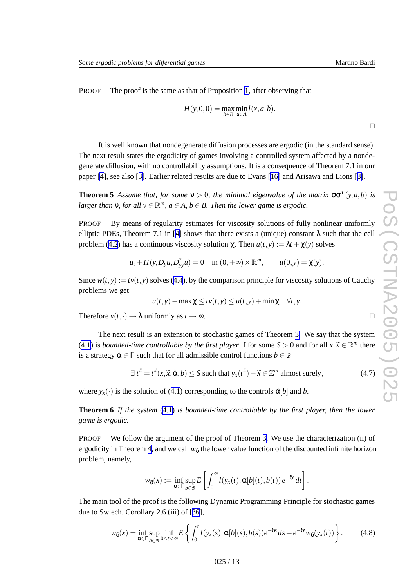$\Box$ 

<span id="page-12-0"></span>PROOF The proof is the same as that of Proposition [1,](#page-5-0) after observing that

$$
-H(y,0,0) = \max_{b \in B} \min_{a \in A} l(x,a,b).
$$

It is well known that nondegenerate diffusion processes are ergodic (in the standard sense). The next result states the ergodicity of games involving a controlled system affected by a nondegenerate diffusion, with no controllability assumptions. It is a consequence of Theorem 7.1 in our paper [\[4\]](#page-14-0), see also [[3\]](#page-14-0). Earlier related results are due to Evans [[16](#page-15-0) ] and Arisa w a and Lions [[8\]](#page-14-0).

**Theorem 5** Assume that, for some  $v > 0$ , the minimal eigenvalue of the matrix  $\sigma \sigma^T(y, a, b)$  is *larger than*  $v$ *, for all*  $y \in \mathbb{R}^m$ *,*  $a \in A$ *,*  $b \in B$ *. Then the lower game is ergodic.* 

P R O O By means of regularity estimates for viscosity solutions of fully nonlinear uniformly elliptic PDEs, Theorem 7.1 in [[4](#page-14-0)] shows that there exists a (unique) constant  $\lambda$  such that the cell problem ([4.2](#page-11-0)) has a continuous viscosity solution  $\chi$ . Then  $u(t, y) := \lambda t + \chi(y)$  solves

$$
u_t + H(y, D_y u, D_{yy}^2 u) = 0
$$
 in  $(0, +\infty) \times \mathbb{R}^m$ ,  $u(0, y) = \chi(y)$ .

Since  $w(t, y) := tv(t, y)$  solves ([4.4](#page-11-0)), by the comparison principle for viscosity solutions of Cauchy problems we get

$$
u(t, y) - \max \chi \leq tv(t, y) \leq u(t, y) + \min \chi \quad \forall t, y.
$$

Therefore  $v(t, \cdot) \rightarrow \lambda$  uniformly as  $t \rightarrow \infty$ .

The next result is an extension to stochastic games of Theorem [3](#page-6-0). We say that the system [\(4.1](#page-10-0)) is *bounded-time controllable by the first player* if for some  $S > 0$  and for all  $x, \tilde{x} \in \mathbb{R}^m$  there is a strategy  $\widetilde{\alpha} \in \Gamma$  such that for all admissible control functions  $b \in \mathcal{B}$ 

$$
\exists t^{\#} = t^{\#}(x, \widetilde{x}, \widetilde{\alpha}, b) \le S \text{ such that } y_x(t^{\#}) - \widetilde{x} \in \mathbb{Z}^m \text{ almost surely,}
$$
 (4.7)

where  $y_x(\cdot)$  is the solution of ([4.1](#page-10-0)) corresponding to the controls  $\tilde{\alpha}[b]$  and *b*.

**Theorem 6** *If the system* [\(4.1](#page-10-0) ) *is bounded-time controllable by the first player, then the lower game is ergodic.*

PROOF We follow the argument of the proof of Theorem [3](#page-6-0). We use the characterization (ii) of ergodicity in Theorem [4](#page-11-0), and we call  $w_{\delta}$  the lower value function of the discounted infinite horizon problem, namely ,

$$
w_{\delta}(x) := \inf_{\alpha \in \Gamma} \sup_{b \in \mathcal{B}} E\left[\int_0^{\infty} l(y_x(t), \alpha[b](t), b(t)) e^{-\delta t} dt\right].
$$

The main tool of the proof is the following Dynamic Programming Principle for stochastic games due to Swiech, Corollary 2.6 (iii) of [[36](#page-16-0)],

$$
w_{\delta}(x) = \inf_{\alpha \in \Gamma} \sup_{b \in \mathcal{B}} \inf_{0 \le t < \infty} E\left\{ \int_0^t l(y_x(s), \alpha[b](s), b(s)) e^{-\delta s} ds + e^{-\delta t} w_{\delta}(y_x(t)) \right\}.
$$
 (4.8)

 $\Box$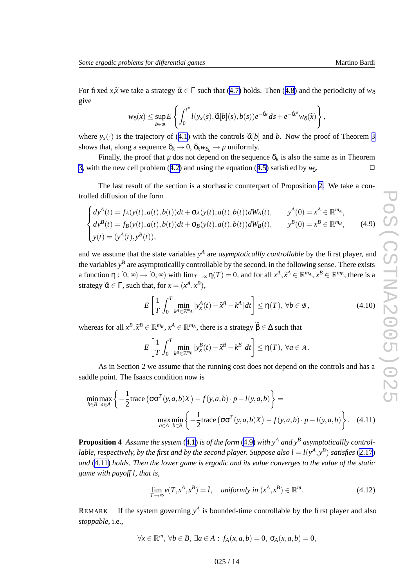<span id="page-13-0"></span>For fixed *x*, $\widetilde{x}$  we take a strategy  $\widetilde{\alpha} \in \Gamma$  such that ([4.7\)](#page-12-0) holds. Then ([4.8](#page-12-0)) and the periodicity of  $w_{\delta}$ gi v e

$$
w_{\delta}(x)\leq \sup_{b\in \mathcal{B}}E\left\{\int_0^{t^{\#}}l(y_x(s),\widetilde{\alpha}[b](s),b(s))e^{-\delta s}\,ds+e^{-\delta t^{\#}}w_{\delta}(\widetilde{x})\right\},\,
$$

where  $y_x(\cdot)$  is the trajectory of ([4.1](#page-10-0)) with the controls  $\tilde{\alpha}[b]$  and *b*. Now the proof of Theorem [3](#page-6-0) shows that, along a sequence  $\delta_k \to 0$ ,  $\delta_k w_{\delta_k} \to \mu$  uniformly.

Finally, the proof that  $\mu$  dos not depend on the sequence  $\delta_k$  is also the same as in Theorem [3](#page-6-0) , with the ne w cell problem ([4.2](#page-11-0) ) and using the equation ([4.5](#page-11-0) ) satisfied by *w*δ .  $\Box$ 

The last result of the section is a stochastic counterpart of Proposition [2](#page-8-0). We take a controlled diffusion of the form

$$
\begin{cases}\ndy^{A}(t) = f_{A}(y(t), a(t), b(t))dt + \sigma_{A}(y(t), a(t), b(t))dW_{A}(t), & y^{A}(0) = x^{A} \in \mathbb{R}^{m_{A}}, \\
dy^{B}(t) = f_{B}(y(t), a(t), b(t))dt + \sigma_{B}(y(t), a(t), b(t))dW_{B}(t), & y^{B}(0) = x^{B} \in \mathbb{R}^{m_{B}}, \\
y(t) = (y^{A}(t), y^{B}(t)), & \end{cases}
$$
\n(4.9)

and we assume that the state variables  $y<sup>A</sup>$  are *asymptoticallly controllable* by the first player, and the variables  $y^B$  are asymptoticallly controllable by the second, in the following sense. There exists a function  $\eta : [0, \infty) \to [0, \infty)$  with  $\lim_{T \to \infty} \eta(T) = 0$ , and for all  $x^A, \tilde{x}^A \in \mathbb{R}^{m_A}, x^B \in \mathbb{R}^{m_B}$ , there is a strategy  $\widetilde{\alpha} \in \Gamma$ , such that, for  $x = (x^A, x^B)$ ,

$$
E\left[\frac{1}{T}\int_0^T \min_{k^A \in \mathbb{Z}^{m_A}} |y^A_x(t) - \widetilde{x}^A - k^A| \, dt\right] \le \eta(T), \, \forall b \in \mathcal{B},\tag{4.10}
$$

whereas for all  $x^B$ ,  $\tilde{x}^B \in \mathbb{R}^{m_B}$ ,  $x^A \in \mathbb{R}^{m_A}$ , there is a strategy  $\tilde{\beta} \in \Delta$  such that

$$
E\left[\frac{1}{T}\int_0^T \min_{k^B\in\mathbb{Z}^{m_B}}|y^B_x(t)-\widetilde{x}^B-k^B|dt\right]\leq \eta(T),\,\forall a\in\mathcal{A}.
$$

As in Section 2 we assume that the running cost does not depend on the controls and has a saddle point. The Isaacs condition no w is

$$
\min_{b \in B} \max_{a \in A} \left\{ -\frac{1}{2} \text{trace} \left( \sigma \sigma^T(y, a, b) X \right) - f(y, a, b) \cdot p - l(y, a, b) \right\} =
$$
\n
$$
\max_{a \in A} \min_{b \in B} \left\{ -\frac{1}{2} \text{trace} \left( \sigma \sigma^T(y, a, b) X \right) - f(y, a, b) \cdot p - l(y, a, b) \right\}. \quad (4.11)
$$

**Proposition 4** Assume the system ([4.1](#page-10-0)) is of the form (4.9) with  $y^A$  and  $y^B$  asymptoticallly controllable, respectively, by the first and by the second player. Suppose also  $l = l(y^A, y^B)$  satisfies [\(2.17](#page-8-0)) and (4.11) holds. Then the lower game is ergodic and its value converges to the value of the static *game with payoff l , that is,*

$$
\lim_{T \to \infty} v(T, x^A, x^B) = \overline{l}, \quad \text{uniformly in } (x^A, x^B) \in \mathbb{R}^m. \tag{4.12}
$$

**REMAR** K If the system governing  $y^A$  is bounded-time controllable by the first player and also *stoppable* , i.e.,

$$
\forall x \in \mathbb{R}^m, \ \forall b \in B, \ \exists a \in A : f_A(x, a, b) = 0, \ \sigma_A(x, a, b) = 0,
$$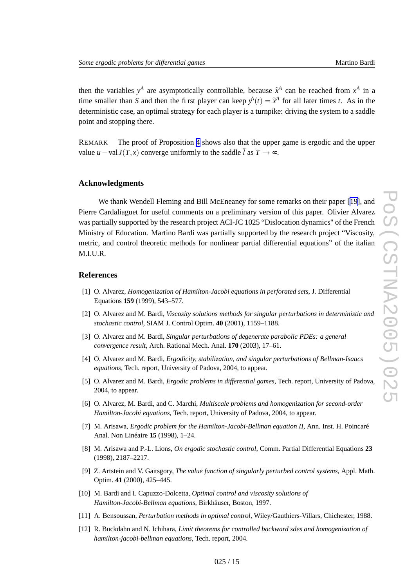<span id="page-14-0"></span>then the variables  $y^A$  are asymptotically controllable, because  $\tilde{x}^A$  can be reached from  $x^A$  in a time smaller than *S* and then the first player can keep  $y^A(t) = \tilde{x}^A$  for all later times *t*. As in the deterministic case, an optimal strategy for each player is a turnpike: driving the system to a saddle point and stopping there.

REMARK The proof of Proposition [4](#page-13-0) shows also that the upper game is ergodic and the upper value *u* − val *J*(*T*,*x*) converge uniformly to the saddle *l* as *T* → ∞.

### **Acknowledgments**

We thank Wendell Fleming and Bill McEneane y for some remarks on their paper [[19\]](#page-15-0), and Pierre Cardaliaguet for useful comments on a preliminary version of this paper . Olivier Alvarez was partially supported by the research project ACI-JC 1025 "Dislocation dynamics" of the French Ministry of Education. Martino Bardi was partially supported by the research project "Viscosity , metric, and control theoretic methods for nonlinear partial differential equations" of the italian M.I.U.R.

# **References**

- [1] O. Alvarez, *Homo genization of Hamilton-Jacobi equations in perforated sets* , J. Differential Equations **159** (1999), 543–577.
- [2] O. Alvarez and M. Bardi, *Viscosity solutions methods for singular perturbations in deterministic and stochastic control* , SIAM J. Control Optim. **40** (2001), 1159–1188.
- [3] O. Alvarez and M. Bardi, *Singular perturbations of degenerate parabolic PDEs: a general convergence result* , Arch. Rational Mech. Anal. **170** (2003), 17–61.
- [4] O. Alvarez and M. Bardi, *Ergodicity, stabilization, and singular perturbations of Bellman-Isaacs* equations, Tech. report, University of Padova, 2004, to appear.
- [5] O. Alvarez and M. Bardi, *Ergodic problems in differential games* , Tech. report, Uni versity of Pado va, 2004, to appear .
- [6] O. Alvarez, M. Bardi, and C. Marchi, *Multiscale problems and homo genization for second-order* Hamilton-Jacobi equations, Tech. report, University of Padova, 2004, to appear.
- [7] M. Arisa wa, *Ergodic problem for the Hamilton-Jacobi-Bellman equation II* , Ann. Inst. H. Poincaré Anal. Non Linéaire **15** (1998), 1–24.
- [8] M. Arisa w a and P.-L. Lions, *On ergodic stochastic control* , Comm. Partial Differential Equations **23** (1998), 2187–2217.
- [9] Z. Artstein and V. Gaitsgory , *The value function of singularly perturbed control systems* , Appl. Math. Optim. **41** (2000), 425–445.
- [10] M. Bardi and I. Capuzzo-Dolcetta, *Optimal control and viscosity solutions of* Hamilton-Jacobi-Bellman equations, Birkhäuser, Boston, 1997.
- [11] A. Bensoussan, *Perturbation methods in optimal control* , Wiley/Gauthiers-Villars, Chichester , 1988.
- [12] R. Buckdahn and N. Ichihara, *Limit theorems for controlled backward sdes and homo genization of hamilton-jacobi-bellman equations* , Tech. report, 2004.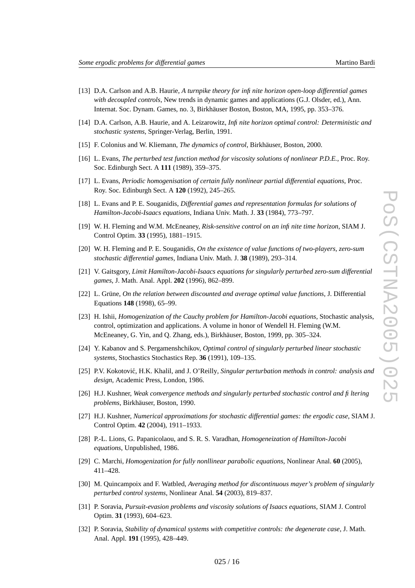- <span id="page-15-0"></span>[13] D.A. Carlson and A.B. Haurie, *A turnpik e theory for infinite horizon open-loop differential games* with *decoupled controls*, New trends in dynamic games and applications (G.J. Olsder, ed.), Ann. Internat. Soc. Dynam. Games, no. 3, Birkhäuser Boston, Boston, MA, 1995, pp. 353–376.
- [14] D.A. Carlson, A.B. Haurie, and A. Leizarowitz, *Infinite horizon optimal control: Deterministic and stochastic systems* , Springer-Verlag, Berlin, 1991.
- [15] F. Colonius and W. Kliemann, *The dynamics of control* , Birkhäuser , Boston, 2000.
- [16] L. Evans, *The perturbed test function method for viscosity solutions of nonlinear P.D.E.* , Proc. Ro y . Soc. Edinburgh Sect. A **111** (1989), 359–375.
- [17] L. Evans, *Periodic homo genisation of certain fully nonlinear partial differential equations* , Proc. Ro y . Soc. Edinburgh Sect. A **120** (1992), 245–265.
- [18] L. Evans and P. E. Souganidis, *Differential games and representation formulas for solutions of Hamilton-Jacobi-Isaacs equations* , Indiana Uni v . Math. J. **33** (1984), 773–797.
- [19] W. H. Fleming and W.M. McEneane y , *Risk-sensitive control on an infinite time horizon* , SIAM J. Control Optim. **33** (1995), 1881–1915.
- [20] W. H. Fleming and P. E. Souganidis, *On the existence of value functions of two-players, zero-sum stochastic differential games* , Indiana Uni v . Math. J. **38** (1989), 293–314.
- [21] V. Gaitsgory , *Limit Hamilton-Jacobi-Isaacs equations for singularly perturbed zero-sum differential games* , J. Math. Anal. Appl. **202** (1996), 862–899.
- [22] L. Grüne, *On the relation between discounted and avera g e optimal value functions* , J. Differential Equations **148** (1998), 65–99.
- [23] H. Ishii, *Homo genization of the Cauchy problem for Hamilton-Jacobi equations* , Stochastic analysis, control, optimization and applications. A volume in honor of Wendell H. Fleming (W.M. McEneaney, G. Yin, and Q. Zhang, eds.), Birkhäuser , Boston, 1999, pp. 305–324.
- [24] Y. Kabano v and S. Per gamenshchik o v , *Optimal control of singularly perturbed linear stochastic systems* , Stochastics Stochastics Rep. **36** (1991), 109–135.
- [25] P.V. Kokotovic,´ H.K. Khalil, and J. O'Reilly, *Singular perturbation methods in control: analysis and design* , Academic Press, London, 1986.
- [26] H.J. Kushner , *Weak convergence methods and singularly perturbed stochastic control and filtering problems* , Birkhäuser , Boston, 1990.
- [27] H.J. Kushner , *Numerical approximations for stochastic differential games: the ergodic case* , SIAM J. Control Optim. **42** (2004), 1911–1933.
- [28] P.-L. Lions, G. Papanicolaou, and S. R. S. Varadhan, *Homo geneization of Hamilton-Jacobi equations* , Unpublished, 1986.
- [29] C. Marchi, *Homo genization for fully nonllinear parabolic equations* , Nonlinear Anal. **60** (2005), 411–428.
- [30] M. Quincampoix and F. Watbled, *Averaging method for discontinuous mayer' s problem of singularly perturbed control systems* , Nonlinear Anal. **54** (2003), 819–837.
- [31] P. Soravia, *Pursuit-evasion problems and viscosity solutions of Isaacs equations* , SIAM J. Control Optim. **31** (1993), 604–623.
- [32] P. Soravia, *Stability of dynamical systems with competitive controls: the degenerate case* , J. Math. Anal. Appl. **191** (1995), 428–449.